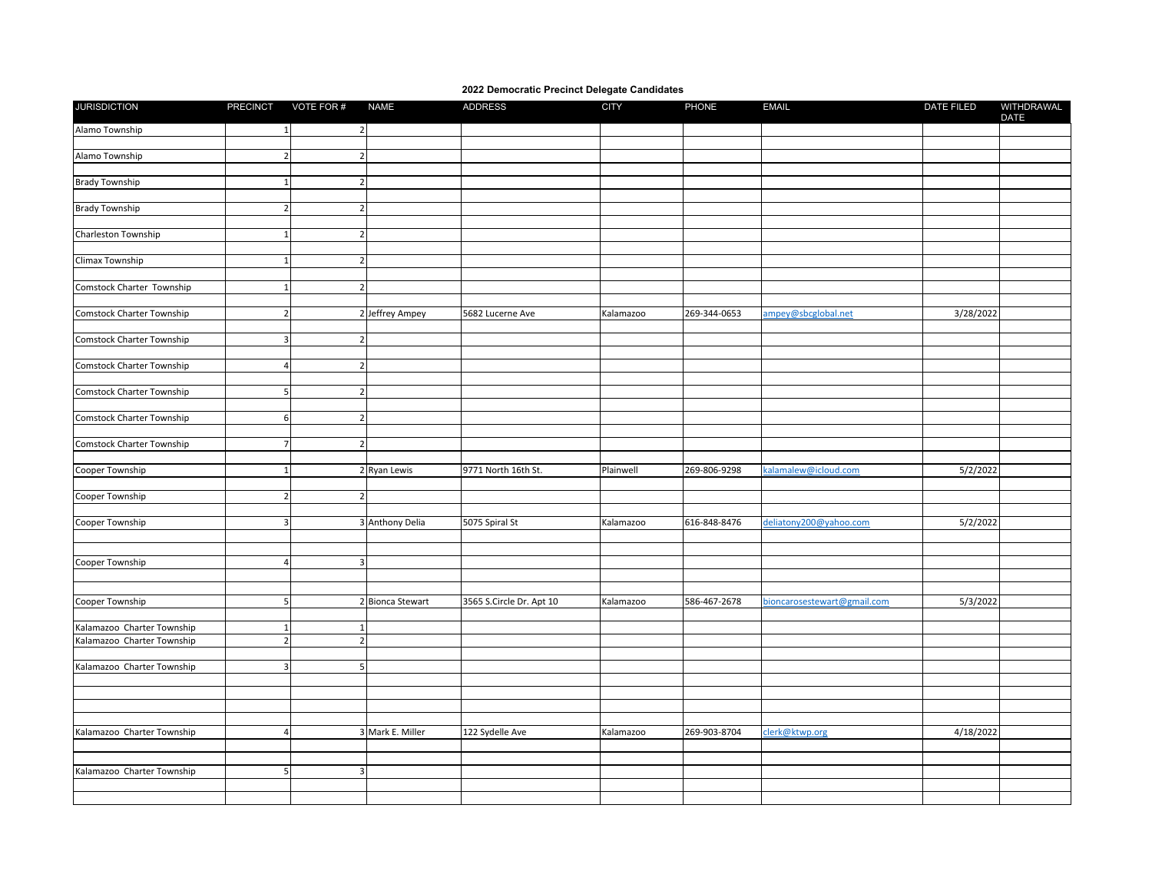## **2022 Democratic Precinct Delegate Candidates**

| <b>JURISDICTION</b>        |                         | PRECINCT VOTE FOR #      | <b>NAME</b>      | <b>ADDRESS</b>           | <b>CITY</b> | PHONE        | <b>EMAIL</b>                | <b>DATE FILED</b> | WITHDRAWAL<br>DATE |
|----------------------------|-------------------------|--------------------------|------------------|--------------------------|-------------|--------------|-----------------------------|-------------------|--------------------|
| Alamo Township             | $\mathbf{1}$            | $\overline{2}$           |                  |                          |             |              |                             |                   |                    |
|                            |                         |                          |                  |                          |             |              |                             |                   |                    |
| Alamo Township             | $\overline{2}$          | $\mathcal{P}$            |                  |                          |             |              |                             |                   |                    |
|                            |                         |                          |                  |                          |             |              |                             |                   |                    |
| <b>Brady Township</b>      | $\mathbf{1}$            | $\overline{\phantom{a}}$ |                  |                          |             |              |                             |                   |                    |
|                            |                         |                          |                  |                          |             |              |                             |                   |                    |
| <b>Brady Township</b>      | $\overline{2}$          | $\overline{\mathbf{c}}$  |                  |                          |             |              |                             |                   |                    |
|                            |                         |                          |                  |                          |             |              |                             |                   |                    |
| Charleston Township        | $\mathbf 1$             | $\overline{2}$           |                  |                          |             |              |                             |                   |                    |
|                            |                         |                          |                  |                          |             |              |                             |                   |                    |
| Climax Township            | $\mathbf{1}$            | $\overline{2}$           |                  |                          |             |              |                             |                   |                    |
|                            |                         |                          |                  |                          |             |              |                             |                   |                    |
| Comstock Charter Township  | $\mathbf 1$             | $\overline{2}$           |                  |                          |             |              |                             |                   |                    |
|                            |                         |                          |                  |                          |             |              |                             |                   |                    |
| Comstock Charter Township  | $\overline{2}$          |                          | 2 Jeffrey Ampey  | 5682 Lucerne Ave         | Kalamazoo   | 269-344-0653 | ampey@sbcglobal.net         | 3/28/2022         |                    |
|                            |                         |                          |                  |                          |             |              |                             |                   |                    |
| Comstock Charter Township  | $\overline{\mathbf{3}}$ | $\overline{\phantom{a}}$ |                  |                          |             |              |                             |                   |                    |
|                            |                         |                          |                  |                          |             |              |                             |                   |                    |
| Comstock Charter Township  | $\overline{4}$          | $\overline{\mathbf{c}}$  |                  |                          |             |              |                             |                   |                    |
|                            |                         |                          |                  |                          |             |              |                             |                   |                    |
| Comstock Charter Township  | 5                       | $\mathcal{P}$            |                  |                          |             |              |                             |                   |                    |
|                            |                         |                          |                  |                          |             |              |                             |                   |                    |
| Comstock Charter Township  | 6                       | $\overline{2}$           |                  |                          |             |              |                             |                   |                    |
|                            |                         |                          |                  |                          |             |              |                             |                   |                    |
| Comstock Charter Township  | $\overline{7}$          | $\overline{2}$           |                  |                          |             |              |                             |                   |                    |
|                            |                         |                          |                  |                          |             |              |                             |                   |                    |
| Cooper Township            | $\mathbf{1}$            |                          | 2 Ryan Lewis     | 9771 North 16th St.      | Plainwell   | 269-806-9298 | kalamalew@icloud.com        | 5/2/2022          |                    |
| Cooper Township            | $\overline{2}$          | $\overline{2}$           |                  |                          |             |              |                             |                   |                    |
|                            |                         |                          |                  |                          |             |              |                             |                   |                    |
| Cooper Township            | $\overline{\mathbf{3}}$ |                          | 3 Anthony Delia  | 5075 Spiral St           | Kalamazoo   | 616-848-8476 | deliatony200@yahoo.com      | 5/2/2022          |                    |
|                            |                         |                          |                  |                          |             |              |                             |                   |                    |
|                            |                         |                          |                  |                          |             |              |                             |                   |                    |
| Cooper Township            | $\overline{4}$          | 3                        |                  |                          |             |              |                             |                   |                    |
|                            |                         |                          |                  |                          |             |              |                             |                   |                    |
|                            |                         |                          |                  |                          |             |              |                             |                   |                    |
| Cooper Township            | 5 <sup>1</sup>          |                          | 2 Bionca Stewart | 3565 S.Circle Dr. Apt 10 | Kalamazoo   | 586-467-2678 | bioncarosestewart@gmail.com | 5/3/2022          |                    |
|                            |                         |                          |                  |                          |             |              |                             |                   |                    |
| Kalamazoo Charter Township | $\mathbf{1}$            |                          |                  |                          |             |              |                             |                   |                    |
| Kalamazoo Charter Township | $\overline{2}$          | $\overline{2}$           |                  |                          |             |              |                             |                   |                    |
|                            |                         |                          |                  |                          |             |              |                             |                   |                    |
| Kalamazoo Charter Township | $\overline{3}$          | 5                        |                  |                          |             |              |                             |                   |                    |
|                            |                         |                          |                  |                          |             |              |                             |                   |                    |
|                            |                         |                          |                  |                          |             |              |                             |                   |                    |
|                            |                         |                          |                  |                          |             |              |                             |                   |                    |
|                            |                         |                          |                  |                          |             |              |                             |                   |                    |
| Kalamazoo Charter Township | $\overline{4}$          |                          | 3 Mark E. Miller | 122 Sydelle Ave          | Kalamazoo   | 269-903-8704 | clerk@ktwp.org              | 4/18/2022         |                    |
|                            |                         |                          |                  |                          |             |              |                             |                   |                    |
|                            |                         |                          |                  |                          |             |              |                             |                   |                    |
| Kalamazoo Charter Township | 5 <sub>l</sub>          | $\overline{3}$           |                  |                          |             |              |                             |                   |                    |
|                            |                         |                          |                  |                          |             |              |                             |                   |                    |
|                            |                         |                          |                  |                          |             |              |                             |                   |                    |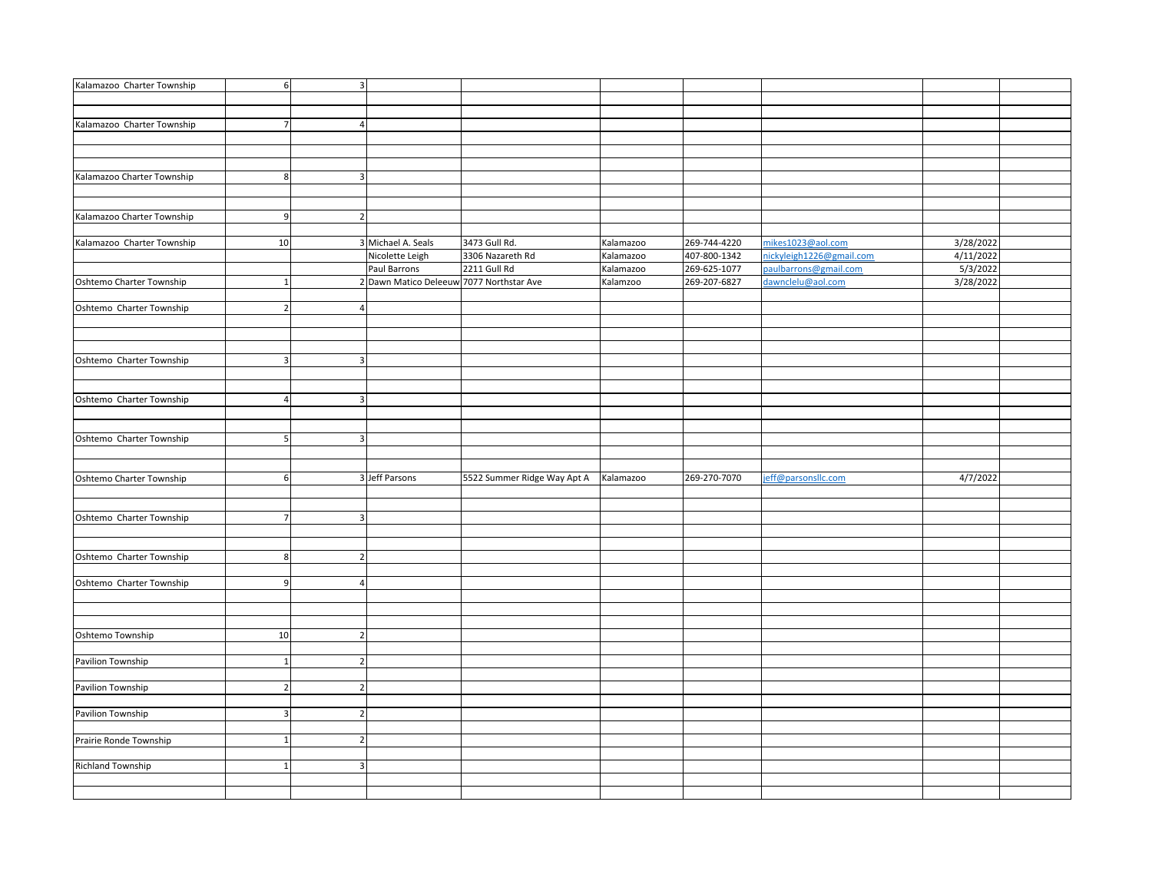| Kalamazoo Charter Township | 6               | $\overline{\mathbf{3}}$  |                                          |                             |           |              |                          |           |  |
|----------------------------|-----------------|--------------------------|------------------------------------------|-----------------------------|-----------|--------------|--------------------------|-----------|--|
|                            |                 |                          |                                          |                             |           |              |                          |           |  |
|                            |                 |                          |                                          |                             |           |              |                          |           |  |
| Kalamazoo Charter Township | 7 <sup>1</sup>  | $\overline{a}$           |                                          |                             |           |              |                          |           |  |
|                            |                 |                          |                                          |                             |           |              |                          |           |  |
|                            |                 |                          |                                          |                             |           |              |                          |           |  |
|                            |                 |                          |                                          |                             |           |              |                          |           |  |
| Kalamazoo Charter Township | 8               | $\overline{3}$           |                                          |                             |           |              |                          |           |  |
|                            |                 |                          |                                          |                             |           |              |                          |           |  |
|                            |                 |                          |                                          |                             |           |              |                          |           |  |
|                            |                 |                          |                                          |                             |           |              |                          |           |  |
| Kalamazoo Charter Township | 9               | $\overline{2}$           |                                          |                             |           |              |                          |           |  |
|                            |                 |                          |                                          |                             |           |              |                          |           |  |
| Kalamazoo Charter Township | 10 <sup>1</sup> |                          | 3 Michael A. Seals                       | 3473 Gull Rd.               | Kalamazoo | 269-744-4220 | mikes1023@aol.com        | 3/28/2022 |  |
|                            |                 |                          | Nicolette Leigh                          | 3306 Nazareth Rd            | Kalamazoo | 407-800-1342 | nickyleigh1226@gmail.com | 4/11/2022 |  |
|                            |                 |                          | Paul Barrons                             | 2211 Gull Rd                | Kalamazoo | 269-625-1077 | paulbarrons@gmail.com    | 5/3/2022  |  |
| Oshtemo Charter Township   | $\mathbf{1}$    |                          | 2 Dawn Matico Deleeuw 7077 Northstar Ave |                             | Kalamzoo  | 269-207-6827 | dawnclelu@aol.com        | 3/28/2022 |  |
|                            |                 |                          |                                          |                             |           |              |                          |           |  |
| Oshtemo Charter Township   | 2 <sup>1</sup>  |                          |                                          |                             |           |              |                          |           |  |
|                            |                 |                          |                                          |                             |           |              |                          |           |  |
|                            |                 |                          |                                          |                             |           |              |                          |           |  |
|                            |                 |                          |                                          |                             |           |              |                          |           |  |
| Oshtemo Charter Township   | $\overline{3}$  | $\overline{3}$           |                                          |                             |           |              |                          |           |  |
|                            |                 |                          |                                          |                             |           |              |                          |           |  |
|                            |                 |                          |                                          |                             |           |              |                          |           |  |
| Oshtemo Charter Township   | $\overline{4}$  | 3                        |                                          |                             |           |              |                          |           |  |
|                            |                 |                          |                                          |                             |           |              |                          |           |  |
|                            |                 |                          |                                          |                             |           |              |                          |           |  |
| Oshtemo Charter Township   | 5 <sub>l</sub>  | 3                        |                                          |                             |           |              |                          |           |  |
|                            |                 |                          |                                          |                             |           |              |                          |           |  |
|                            |                 |                          |                                          |                             |           |              |                          |           |  |
| Oshtemo Charter Township   | 6               |                          | 3 Jeff Parsons                           | 5522 Summer Ridge Way Apt A | Kalamazoo | 269-270-7070 | eff@parsonsllc.com       | 4/7/2022  |  |
|                            |                 |                          |                                          |                             |           |              |                          |           |  |
|                            |                 |                          |                                          |                             |           |              |                          |           |  |
| Oshtemo Charter Township   | 7 <sup>1</sup>  | 3                        |                                          |                             |           |              |                          |           |  |
|                            |                 |                          |                                          |                             |           |              |                          |           |  |
|                            |                 |                          |                                          |                             |           |              |                          |           |  |
| Oshtemo Charter Township   | 8               | $\overline{2}$           |                                          |                             |           |              |                          |           |  |
|                            |                 |                          |                                          |                             |           |              |                          |           |  |
| Oshtemo Charter Township   | 9               |                          |                                          |                             |           |              |                          |           |  |
|                            |                 |                          |                                          |                             |           |              |                          |           |  |
|                            |                 |                          |                                          |                             |           |              |                          |           |  |
|                            |                 |                          |                                          |                             |           |              |                          |           |  |
| Oshtemo Township           | 10              | $\overline{2}$           |                                          |                             |           |              |                          |           |  |
|                            |                 |                          |                                          |                             |           |              |                          |           |  |
| Pavilion Township          | $\mathbf{1}$    | $\overline{2}$           |                                          |                             |           |              |                          |           |  |
|                            |                 |                          |                                          |                             |           |              |                          |           |  |
| Pavilion Township          | 2 <sup>1</sup>  | $\overline{\phantom{a}}$ |                                          |                             |           |              |                          |           |  |
|                            |                 |                          |                                          |                             |           |              |                          |           |  |
|                            |                 |                          |                                          |                             |           |              |                          |           |  |
| Pavilion Township          | 3 <sup>1</sup>  | $\overline{2}$           |                                          |                             |           |              |                          |           |  |
|                            |                 |                          |                                          |                             |           |              |                          |           |  |
| Prairie Ronde Township     | $1\overline{ }$ | $\overline{2}$           |                                          |                             |           |              |                          |           |  |
|                            |                 |                          |                                          |                             |           |              |                          |           |  |
| <b>Richland Township</b>   | $1\vert$        | 3                        |                                          |                             |           |              |                          |           |  |
|                            |                 |                          |                                          |                             |           |              |                          |           |  |
|                            |                 |                          |                                          |                             |           |              |                          |           |  |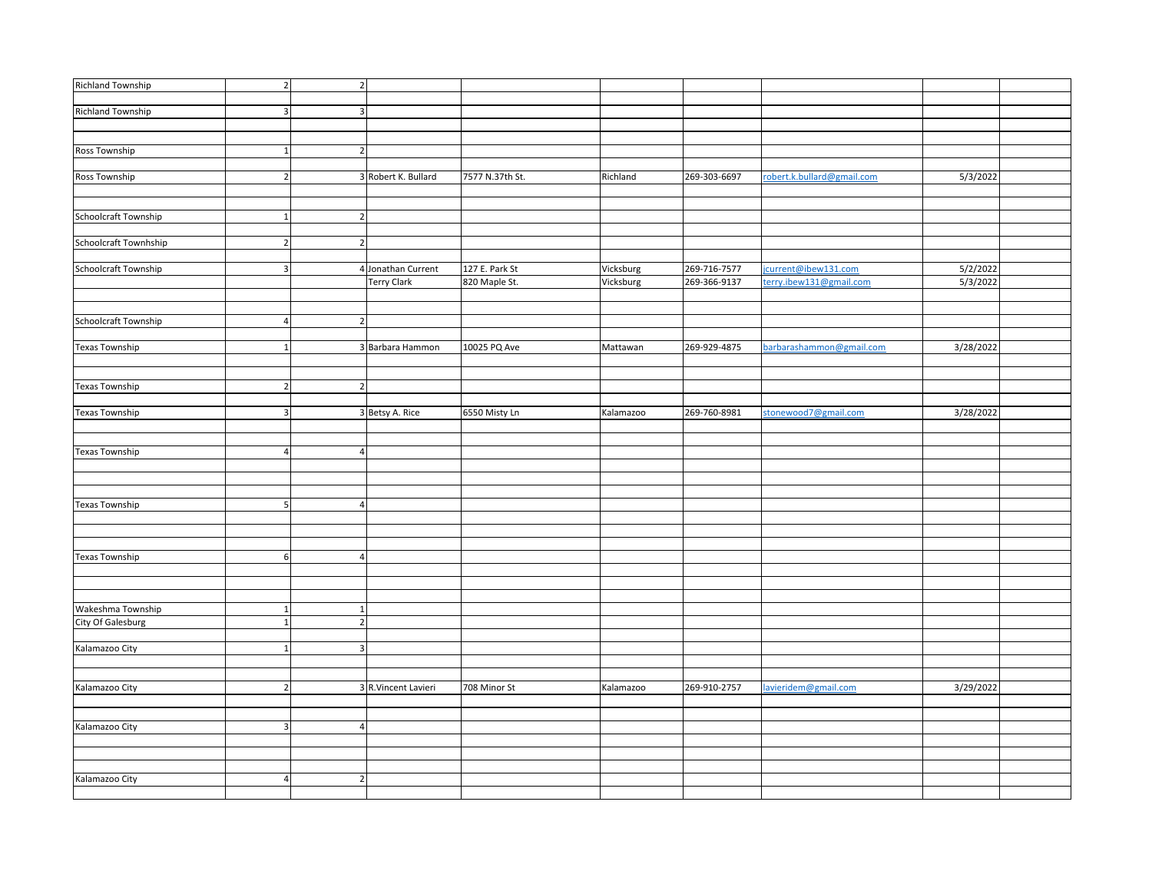| <b>Richland Township</b> | $\overline{2}$               | $\overline{2}$                 |                     |                 |           |              |                            |           |  |
|--------------------------|------------------------------|--------------------------------|---------------------|-----------------|-----------|--------------|----------------------------|-----------|--|
|                          |                              |                                |                     |                 |           |              |                            |           |  |
| Richland Township        | $\overline{3}$               | 3                              |                     |                 |           |              |                            |           |  |
|                          |                              |                                |                     |                 |           |              |                            |           |  |
|                          |                              |                                |                     |                 |           |              |                            |           |  |
| Ross Township            | $\mathbf{1}$                 | $\overline{2}$                 |                     |                 |           |              |                            |           |  |
|                          |                              |                                |                     |                 |           |              |                            |           |  |
| Ross Township            | $\overline{2}$               |                                | 3 Robert K. Bullard | 7577 N.37th St. | Richland  | 269-303-6697 | robert.k.bullard@gmail.com | 5/3/2022  |  |
|                          |                              |                                |                     |                 |           |              |                            |           |  |
|                          |                              |                                |                     |                 |           |              |                            |           |  |
| Schoolcraft Township     | $\mathbf{1}$                 | $\overline{\mathbf{z}}$        |                     |                 |           |              |                            |           |  |
|                          |                              |                                |                     |                 |           |              |                            |           |  |
| Schoolcraft Townhship    | $\overline{2}$               | $\overline{\mathbf{c}}$        |                     |                 |           |              |                            |           |  |
|                          |                              |                                |                     |                 |           |              |                            |           |  |
| Schoolcraft Township     | $\overline{\mathbf{3}}$      |                                | 4 Jonathan Current  | 127 E. Park St  | Vicksburg | 269-716-7577 | jcurrent@ibew131.com       | 5/2/2022  |  |
|                          |                              |                                | <b>Terry Clark</b>  | 820 Maple St.   | Vicksburg | 269-366-9137 | terry.ibew131@gmail.com    | 5/3/2022  |  |
|                          |                              |                                |                     |                 |           |              |                            |           |  |
|                          |                              |                                |                     |                 |           |              |                            |           |  |
| Schoolcraft Township     | $\overline{a}$               | $\overline{2}$                 |                     |                 |           |              |                            |           |  |
|                          |                              |                                |                     |                 |           |              |                            |           |  |
| Texas Township           | -1                           |                                | 3 Barbara Hammon    | 10025 PQ Ave    | Mattawan  | 269-929-4875 | barbarashammon@gmail.com   | 3/28/2022 |  |
|                          |                              |                                |                     |                 |           |              |                            |           |  |
|                          |                              |                                |                     |                 |           |              |                            |           |  |
| <b>Texas Township</b>    | $\overline{2}$               | $\overline{2}$                 |                     |                 |           |              |                            |           |  |
|                          |                              |                                |                     |                 |           |              |                            |           |  |
| <b>Texas Township</b>    | $\overline{\mathbf{3}}$      |                                | 3 Betsy A. Rice     | 6550 Misty Ln   | Kalamazoo | 269-760-8981 | stonewood7@gmail.com       | 3/28/2022 |  |
|                          |                              |                                |                     |                 |           |              |                            |           |  |
|                          |                              |                                |                     |                 |           |              |                            |           |  |
|                          | $\overline{4}$               | $\overline{4}$                 |                     |                 |           |              |                            |           |  |
| <b>Texas Township</b>    |                              |                                |                     |                 |           |              |                            |           |  |
|                          |                              |                                |                     |                 |           |              |                            |           |  |
|                          |                              |                                |                     |                 |           |              |                            |           |  |
|                          |                              |                                |                     |                 |           |              |                            |           |  |
| Texas Township           | 5 <sub>5</sub>               | $\overline{4}$                 |                     |                 |           |              |                            |           |  |
|                          |                              |                                |                     |                 |           |              |                            |           |  |
|                          |                              |                                |                     |                 |           |              |                            |           |  |
|                          |                              |                                |                     |                 |           |              |                            |           |  |
| <b>Texas Township</b>    | 6                            | $\overline{4}$                 |                     |                 |           |              |                            |           |  |
|                          |                              |                                |                     |                 |           |              |                            |           |  |
|                          |                              |                                |                     |                 |           |              |                            |           |  |
|                          |                              |                                |                     |                 |           |              |                            |           |  |
| Wakeshma Township        | $\mathbf{1}$<br>$\mathbf{1}$ | $\mathbf{1}$<br>$\overline{2}$ |                     |                 |           |              |                            |           |  |
| City Of Galesburg        |                              |                                |                     |                 |           |              |                            |           |  |
|                          |                              |                                |                     |                 |           |              |                            |           |  |
| Kalamazoo City           | $\mathbf{1}$                 | $\overline{3}$                 |                     |                 |           |              |                            |           |  |
|                          |                              |                                |                     |                 |           |              |                            |           |  |
|                          |                              |                                |                     |                 |           |              |                            |           |  |
| Kalamazoo City           | $\overline{2}$               |                                | 3 R.Vincent Lavieri | 708 Minor St    | Kalamazoo | 269-910-2757 | lavieridem@gmail.com       | 3/29/2022 |  |
|                          |                              |                                |                     |                 |           |              |                            |           |  |
|                          |                              |                                |                     |                 |           |              |                            |           |  |
| Kalamazoo City           | $\overline{\mathbf{3}}$      | 4                              |                     |                 |           |              |                            |           |  |
|                          |                              |                                |                     |                 |           |              |                            |           |  |
|                          |                              |                                |                     |                 |           |              |                            |           |  |
|                          |                              |                                |                     |                 |           |              |                            |           |  |
| Kalamazoo City           | $\overline{4}$               | $\overline{2}$                 |                     |                 |           |              |                            |           |  |
|                          |                              |                                |                     |                 |           |              |                            |           |  |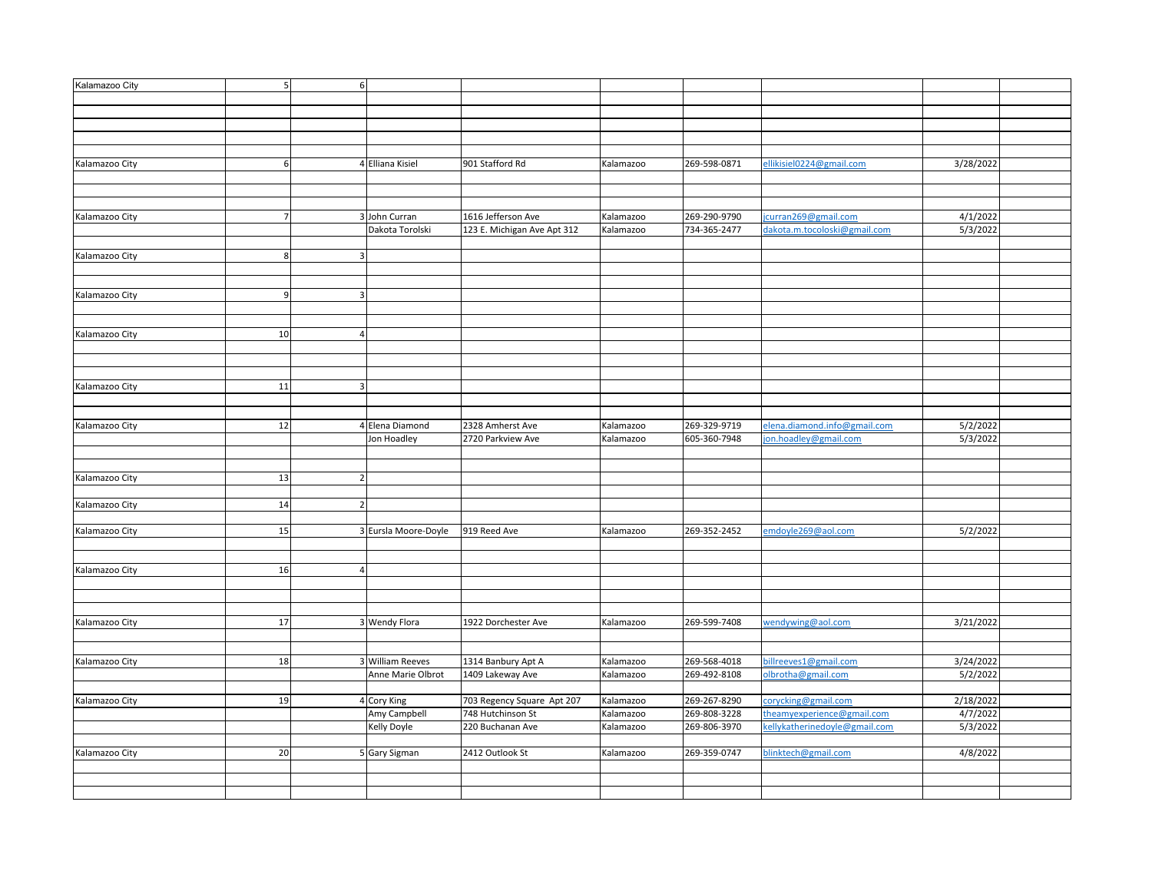| Kalamazoo City | 5 <sub>l</sub> | 6                        |                             |                                                 |                        |              |                                                           |           |  |
|----------------|----------------|--------------------------|-----------------------------|-------------------------------------------------|------------------------|--------------|-----------------------------------------------------------|-----------|--|
|                |                |                          |                             |                                                 |                        |              |                                                           |           |  |
|                |                |                          |                             |                                                 |                        |              |                                                           |           |  |
|                |                |                          |                             |                                                 |                        |              |                                                           |           |  |
|                |                |                          |                             |                                                 |                        |              |                                                           |           |  |
|                |                |                          |                             |                                                 |                        |              |                                                           |           |  |
| Kalamazoo City | 6              |                          | 4 Elliana Kisiel            | 901 Stafford Rd                                 | Kalamazoo              | 269-598-0871 | ellikisiel0224@gmail.com                                  | 3/28/2022 |  |
|                |                |                          |                             |                                                 |                        |              |                                                           |           |  |
|                |                |                          |                             |                                                 |                        |              |                                                           |           |  |
|                |                |                          |                             |                                                 |                        |              |                                                           |           |  |
| Kalamazoo City | $\overline{7}$ |                          | 3 John Curran               | 1616 Jefferson Ave                              | Kalamazoo              | 269-290-9790 | curran269@gmail.com                                       | 4/1/2022  |  |
|                |                |                          | Dakota Torolski             | 123 E. Michigan Ave Apt 312                     | Kalamazoo              | 734-365-2477 | dakota.m.tocoloski@gmail.com                              | 5/3/2022  |  |
|                |                |                          |                             |                                                 |                        |              |                                                           |           |  |
| Kalamazoo City | 8              | $\mathbf{a}$             |                             |                                                 |                        |              |                                                           |           |  |
|                |                |                          |                             |                                                 |                        |              |                                                           |           |  |
|                |                |                          |                             |                                                 |                        |              |                                                           |           |  |
| Kalamazoo City | 9              | $\overline{3}$           |                             |                                                 |                        |              |                                                           |           |  |
|                |                |                          |                             |                                                 |                        |              |                                                           |           |  |
|                |                |                          |                             |                                                 |                        |              |                                                           |           |  |
| Kalamazoo City | 10             | $\overline{4}$           |                             |                                                 |                        |              |                                                           |           |  |
|                |                |                          |                             |                                                 |                        |              |                                                           |           |  |
|                |                |                          |                             |                                                 |                        |              |                                                           |           |  |
|                |                |                          |                             |                                                 |                        |              |                                                           |           |  |
| Kalamazoo City | 11             | 3                        |                             |                                                 |                        |              |                                                           |           |  |
|                |                |                          |                             |                                                 |                        |              |                                                           |           |  |
|                |                |                          |                             |                                                 |                        |              |                                                           |           |  |
| Kalamazoo City | 12             |                          | 4 Elena Diamond             | 2328 Amherst Ave                                | Kalamazoo              | 269-329-9719 | elena.diamond.info@gmail.com                              | 5/2/2022  |  |
|                |                |                          | Jon Hoadley                 | 2720 Parkview Ave                               | Kalamazoo              | 605-360-7948 | on.hoadley@gmail.com                                      | 5/3/2022  |  |
|                |                |                          |                             |                                                 |                        |              |                                                           |           |  |
|                |                |                          |                             |                                                 |                        |              |                                                           |           |  |
| Kalamazoo City | 13             | $\overline{\phantom{a}}$ |                             |                                                 |                        |              |                                                           |           |  |
|                |                |                          |                             |                                                 |                        |              |                                                           |           |  |
| Kalamazoo City | 14             | $\overline{\phantom{a}}$ |                             |                                                 |                        |              |                                                           |           |  |
|                |                |                          |                             |                                                 |                        |              |                                                           |           |  |
| Kalamazoo City | 15             |                          | 3 Eursla Moore-Doyle        | 919 Reed Ave                                    | Kalamazoo              | 269-352-2452 | emdoyle269@aol.com                                        | 5/2/2022  |  |
|                |                |                          |                             |                                                 |                        |              |                                                           |           |  |
|                |                |                          |                             |                                                 |                        |              |                                                           |           |  |
| Kalamazoo City | 16             |                          |                             |                                                 |                        |              |                                                           |           |  |
|                |                |                          |                             |                                                 |                        |              |                                                           |           |  |
|                |                |                          |                             |                                                 |                        |              |                                                           |           |  |
|                |                |                          |                             |                                                 |                        |              |                                                           |           |  |
| Kalamazoo City | 17             |                          | 3 Wendy Flora               | 1922 Dorchester Ave                             | Kalamazoo              | 269-599-7408 | wendywing@aol.com                                         | 3/21/2022 |  |
|                |                |                          |                             |                                                 |                        |              |                                                           |           |  |
|                |                |                          |                             |                                                 |                        |              |                                                           |           |  |
| Kalamazoo City | 18             |                          | 3 William Reeves            | 1314 Banbury Apt A                              | Kalamazoo              | 269-568-4018 | pillreeves1@gmail.com                                     | 3/24/2022 |  |
|                |                |                          | Anne Marie Olbrot           | 1409 Lakeway Ave                                | Kalamazoo              | 269-492-8108 | olbrotha@gmail.com                                        | 5/2/2022  |  |
|                |                |                          |                             |                                                 |                        |              |                                                           |           |  |
|                | 19             |                          |                             |                                                 |                        | 269-267-8290 | corycking@gmail.com                                       | 2/18/2022 |  |
| Kalamazoo City |                |                          | 4 Cory King<br>Amy Campbell | 703 Regency Square Apt 207<br>748 Hutchinson St | Kalamazoo<br>Kalamazoo | 269-808-3228 |                                                           | 4/7/2022  |  |
|                |                |                          |                             | 220 Buchanan Ave                                | Kalamazoo              |              | heamyexperience@gmail.com<br>ellykatherinedoyle@gmail.com | 5/3/2022  |  |
|                |                |                          | Kelly Doyle                 |                                                 |                        | 269-806-3970 |                                                           |           |  |
| Kalamazoo City | 20             |                          |                             | 2412 Outlook St                                 |                        | 269-359-0747 | blinktech@gmail.com                                       | 4/8/2022  |  |
|                |                |                          | 5 Gary Sigman               |                                                 | Kalamazoo              |              |                                                           |           |  |
|                |                |                          |                             |                                                 |                        |              |                                                           |           |  |
|                |                |                          |                             |                                                 |                        |              |                                                           |           |  |
|                |                |                          |                             |                                                 |                        |              |                                                           |           |  |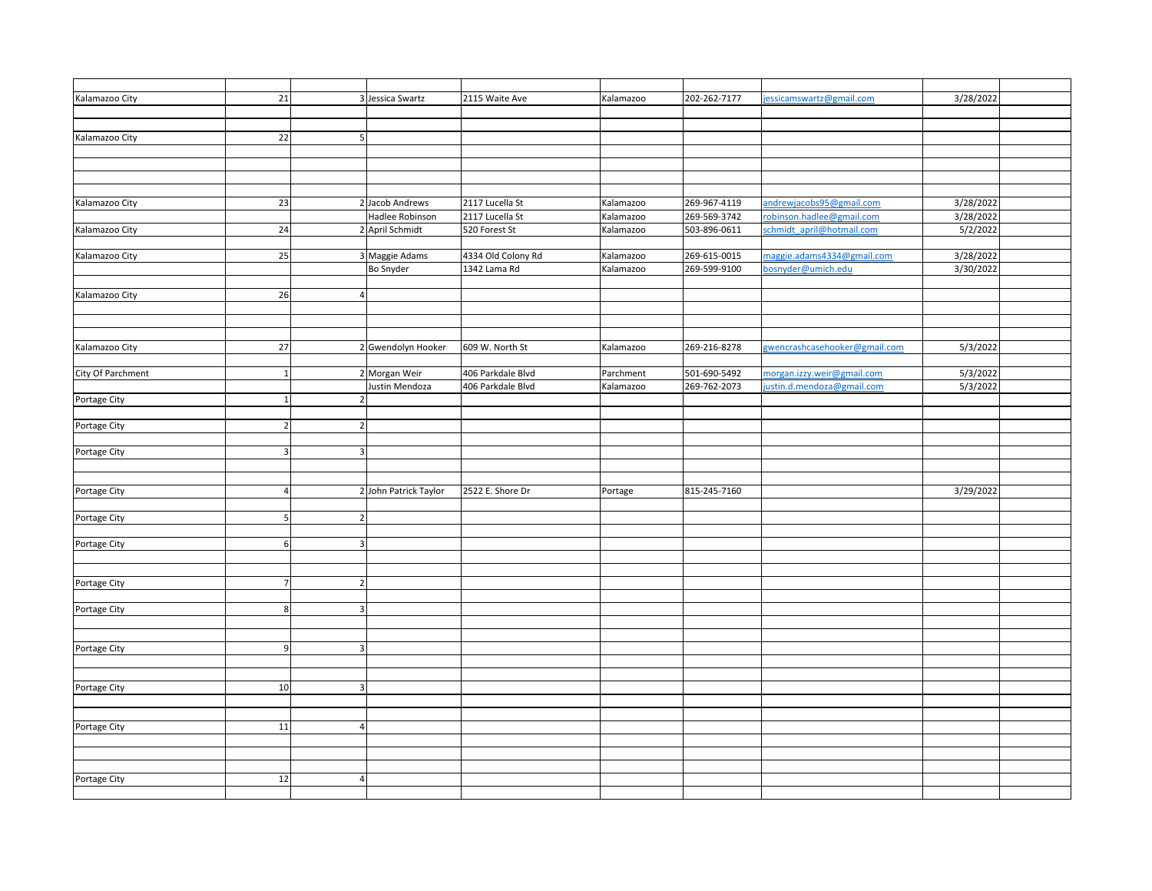| Kalamazoo City    | 21             |                          | 3 Jessica Swartz      | 2115 Waite Ave     | Kalamazoo | 202-262-7177 | jessicamswartz@gmail.com      | 3/28/2022 |  |
|-------------------|----------------|--------------------------|-----------------------|--------------------|-----------|--------------|-------------------------------|-----------|--|
|                   |                |                          |                       |                    |           |              |                               |           |  |
|                   |                |                          |                       |                    |           |              |                               |           |  |
| Kalamazoo City    | 22             | 5                        |                       |                    |           |              |                               |           |  |
|                   |                |                          |                       |                    |           |              |                               |           |  |
|                   |                |                          |                       |                    |           |              |                               |           |  |
|                   |                |                          |                       |                    |           |              |                               |           |  |
|                   |                |                          |                       |                    |           |              |                               |           |  |
| Kalamazoo City    | 23             |                          | 2 Jacob Andrews       | 2117 Lucella St    | Kalamazoo | 269-967-4119 | andrewjacobs95@gmail.com      | 3/28/2022 |  |
|                   |                |                          | Hadlee Robinson       | 2117 Lucella St    | Kalamazoo | 269-569-3742 | robinson.hadlee@gmail.com     | 3/28/2022 |  |
| Kalamazoo City    | 24             |                          | 2 April Schmidt       | 520 Forest St      | Kalamazoo | 503-896-0611 | schmidt april@hotmail.com     | 5/2/2022  |  |
|                   |                |                          |                       |                    |           |              |                               |           |  |
| Kalamazoo City    | 25             |                          | 3 Maggie Adams        | 4334 Old Colony Rd | Kalamazoo | 269-615-0015 | maggie.adams4334@gmail.com    | 3/28/2022 |  |
|                   |                |                          | Bo Snyder             | 1342 Lama Rd       | Kalamazoo | 269-599-9100 | bosnyder@umich.edu            | 3/30/2022 |  |
|                   |                |                          |                       |                    |           |              |                               |           |  |
| Kalamazoo City    | 26             |                          |                       |                    |           |              |                               |           |  |
|                   |                |                          |                       |                    |           |              |                               |           |  |
|                   |                |                          |                       |                    |           |              |                               |           |  |
|                   |                |                          |                       |                    |           |              |                               |           |  |
| Kalamazoo City    | 27             |                          | 2 Gwendolyn Hooker    | 609 W. North St    | Kalamazoo | 269-216-8278 | gwencrashcasehooker@gmail.com | 5/3/2022  |  |
|                   |                |                          |                       |                    |           |              |                               |           |  |
| City Of Parchment | $\mathbf{1}$   |                          | 2 Morgan Weir         | 406 Parkdale Blvd  | Parchment | 501-690-5492 | morgan.izzy.weir@gmail.com    | 5/3/2022  |  |
|                   |                |                          | Justin Mendoza        | 406 Parkdale Blvd  | Kalamazoo | 269-762-2073 | ustin.d.mendoza@gmail.com     | 5/3/2022  |  |
| Portage City      | $\mathbf 1$    |                          |                       |                    |           |              |                               |           |  |
|                   |                |                          |                       |                    |           |              |                               |           |  |
| Portage City      | $\overline{2}$ |                          |                       |                    |           |              |                               |           |  |
|                   |                |                          |                       |                    |           |              |                               |           |  |
| Portage City      | 3 <sup>1</sup> | 3                        |                       |                    |           |              |                               |           |  |
|                   |                |                          |                       |                    |           |              |                               |           |  |
|                   |                |                          |                       |                    |           |              |                               |           |  |
| Portage City      | 4 <sup>1</sup> |                          | 2 John Patrick Taylor | 2522 E. Shore Dr   | Portage   | 815-245-7160 |                               | 3/29/2022 |  |
|                   |                |                          |                       |                    |           |              |                               |           |  |
| Portage City      | 5              | $\overline{\phantom{a}}$ |                       |                    |           |              |                               |           |  |
|                   |                |                          |                       |                    |           |              |                               |           |  |
| Portage City      | 6 <sup>1</sup> | 3                        |                       |                    |           |              |                               |           |  |
|                   |                |                          |                       |                    |           |              |                               |           |  |
|                   |                |                          |                       |                    |           |              |                               |           |  |
| Portage City      | $\overline{7}$ | $\overline{2}$           |                       |                    |           |              |                               |           |  |
|                   |                |                          |                       |                    |           |              |                               |           |  |
| Portage City      | $\bf 8$        | 3                        |                       |                    |           |              |                               |           |  |
|                   |                |                          |                       |                    |           |              |                               |           |  |
|                   |                |                          |                       |                    |           |              |                               |           |  |
| Portage City      | 9              | 3                        |                       |                    |           |              |                               |           |  |
|                   |                |                          |                       |                    |           |              |                               |           |  |
|                   |                |                          |                       |                    |           |              |                               |           |  |
| Portage City      | 10             | 3                        |                       |                    |           |              |                               |           |  |
|                   |                |                          |                       |                    |           |              |                               |           |  |
|                   |                |                          |                       |                    |           |              |                               |           |  |
| Portage City      | 11             | $\overline{4}$           |                       |                    |           |              |                               |           |  |
|                   |                |                          |                       |                    |           |              |                               |           |  |
|                   |                |                          |                       |                    |           |              |                               |           |  |
|                   |                |                          |                       |                    |           |              |                               |           |  |
| Portage City      | 12             | $\overline{a}$           |                       |                    |           |              |                               |           |  |
|                   |                |                          |                       |                    |           |              |                               |           |  |
|                   |                |                          |                       |                    |           |              |                               |           |  |